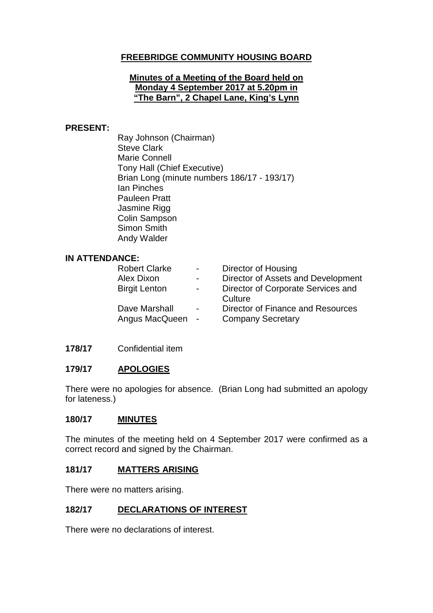## **FREEBRIDGE COMMUNITY HOUSING BOARD**

#### **Minutes of a Meeting of the Board held on Monday 4 September 2017 at 5.20pm in "The Barn", 2 Chapel Lane, King's Lynn**

#### **PRESENT:**

Ray Johnson (Chairman) Steve Clark Marie Connell Tony Hall (Chief Executive) Brian Long (minute numbers 186/17 - 193/17) Ian Pinches Pauleen Pratt Jasmine Rigg Colin Sampson Simon Smith Andy Walder

#### **IN ATTENDANCE:**

| $\sim$ 100 $\mu$         | Director of Housing                |
|--------------------------|------------------------------------|
| $\overline{\phantom{0}}$ | Director of Assets and Development |
| $\overline{\phantom{0}}$ | Director of Corporate Services and |
|                          | Culture                            |
| $\blacksquare$           | Director of Finance and Resources  |
| Angus MacQueen -         | <b>Company Secretary</b>           |
|                          |                                    |

### **178/17** Confidential item

### **179/17 APOLOGIES**

There were no apologies for absence. (Brian Long had submitted an apology for lateness.)

#### **180/17 MINUTES**

The minutes of the meeting held on 4 September 2017 were confirmed as a correct record and signed by the Chairman.

#### **181/17 MATTERS ARISING**

There were no matters arising.

### **182/17 DECLARATIONS OF INTEREST**

There were no declarations of interest.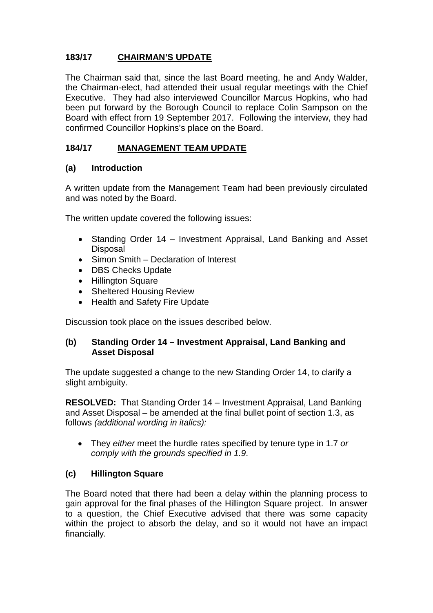# **183/17 CHAIRMAN'S UPDATE**

The Chairman said that, since the last Board meeting, he and Andy Walder, the Chairman-elect, had attended their usual regular meetings with the Chief Executive. They had also interviewed Councillor Marcus Hopkins, who had been put forward by the Borough Council to replace Colin Sampson on the Board with effect from 19 September 2017. Following the interview, they had confirmed Councillor Hopkins's place on the Board.

# **184/17 MANAGEMENT TEAM UPDATE**

### **(a) Introduction**

A written update from the Management Team had been previously circulated and was noted by the Board.

The written update covered the following issues:

- Standing Order 14 Investment Appraisal, Land Banking and Asset **Disposal**
- Simon Smith Declaration of Interest
- DBS Checks Update
- Hillington Square
- Sheltered Housing Review
- Health and Safety Fire Update

Discussion took place on the issues described below.

### **(b) Standing Order 14 – Investment Appraisal, Land Banking and Asset Disposal**

The update suggested a change to the new Standing Order 14, to clarify a slight ambiguity.

**RESOLVED:** That Standing Order 14 – Investment Appraisal, Land Banking and Asset Disposal – be amended at the final bullet point of section 1.3, as follows *(additional wording in italics):*

• They *either* meet the hurdle rates specified by tenure type in 1.7 *or comply with the grounds specified in 1.9*.

## **(c) Hillington Square**

The Board noted that there had been a delay within the planning process to gain approval for the final phases of the Hillington Square project. In answer to a question, the Chief Executive advised that there was some capacity within the project to absorb the delay, and so it would not have an impact financially.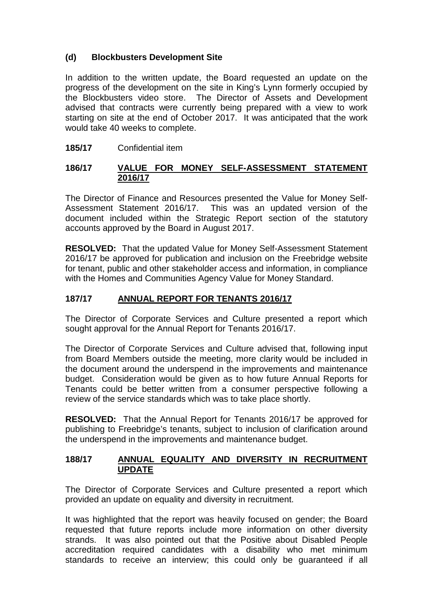# **(d) Blockbusters Development Site**

In addition to the written update, the Board requested an update on the progress of the development on the site in King's Lynn formerly occupied by the Blockbusters video store. The Director of Assets and Development advised that contracts were currently being prepared with a view to work starting on site at the end of October 2017. It was anticipated that the work would take 40 weeks to complete.

# **185/17** Confidential item

## **186/17 VALUE FOR MONEY SELF-ASSESSMENT STATEMENT 2016/17**

The Director of Finance and Resources presented the Value for Money Self-Assessment Statement 2016/17. This was an updated version of the document included within the Strategic Report section of the statutory accounts approved by the Board in August 2017.

**RESOLVED:** That the updated Value for Money Self-Assessment Statement 2016/17 be approved for publication and inclusion on the Freebridge website for tenant, public and other stakeholder access and information, in compliance with the Homes and Communities Agency Value for Money Standard.

## **187/17 ANNUAL REPORT FOR TENANTS 2016/17**

The Director of Corporate Services and Culture presented a report which sought approval for the Annual Report for Tenants 2016/17.

The Director of Corporate Services and Culture advised that, following input from Board Members outside the meeting, more clarity would be included in the document around the underspend in the improvements and maintenance budget. Consideration would be given as to how future Annual Reports for Tenants could be better written from a consumer perspective following a review of the service standards which was to take place shortly.

**RESOLVED:** That the Annual Report for Tenants 2016/17 be approved for publishing to Freebridge's tenants, subject to inclusion of clarification around the underspend in the improvements and maintenance budget.

### **188/17 ANNUAL EQUALITY AND DIVERSITY IN RECRUITMENT UPDATE**

The Director of Corporate Services and Culture presented a report which provided an update on equality and diversity in recruitment.

It was highlighted that the report was heavily focused on gender; the Board requested that future reports include more information on other diversity strands. It was also pointed out that the Positive about Disabled People accreditation required candidates with a disability who met minimum standards to receive an interview; this could only be guaranteed if all